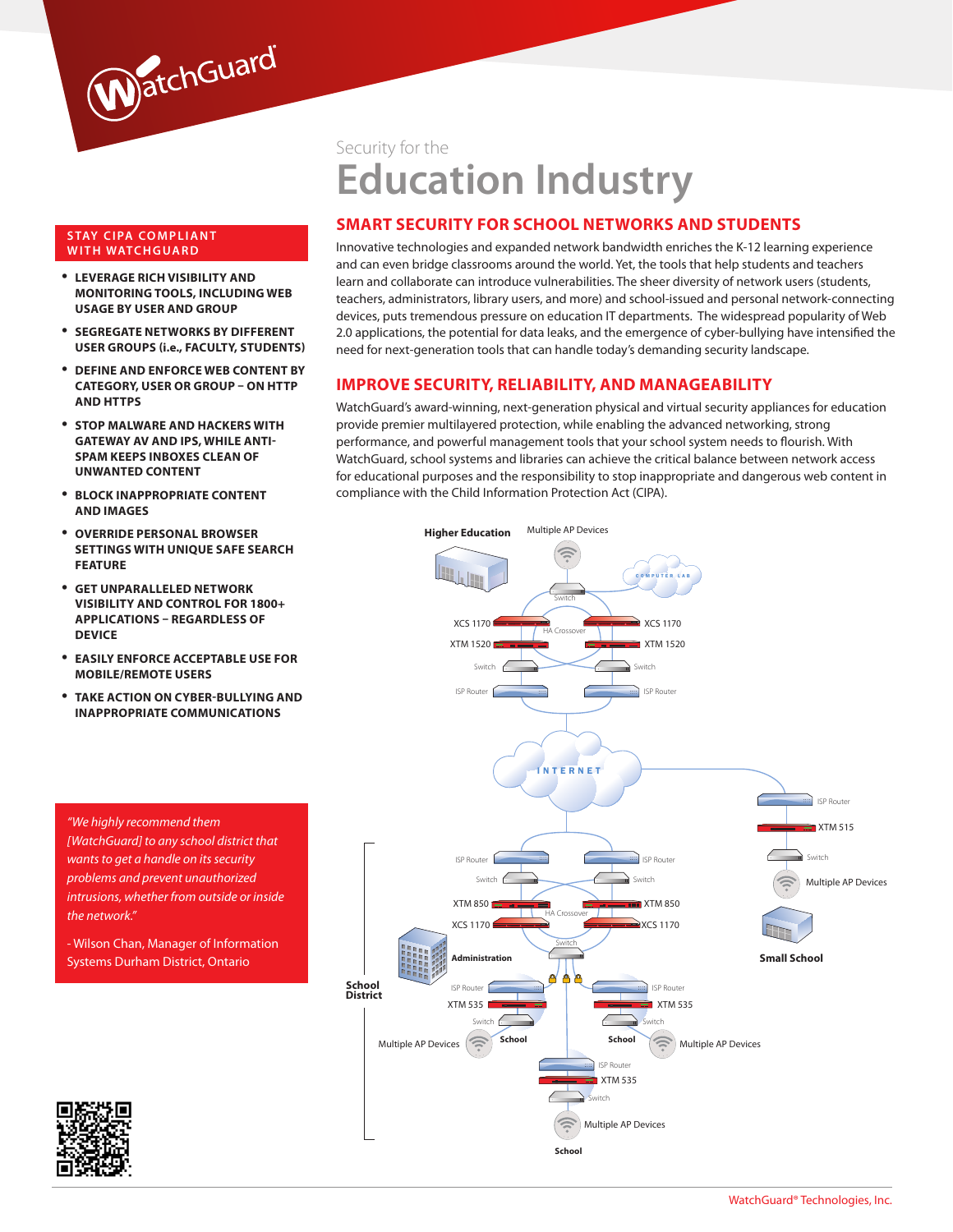

#### **STAY CIPA COMPLIANT WITH WATCHGUARD**

- • **Leverage rich visibility and monitoring tools, including web usage by user and group**
- • **Segregate networks by different user groups (i.e., faculty, students)**
- • **Define and enforce web content by category, user or group – on HTTP and HTTPS**
- • **Stop malware and hackers with Gateway AV and IPS, while Anti-Spam keeps inboxes clean of unwanted content**
- **BLOCK INAPPROPRIATE CONTENT and images**
- • **Override personal browser settings with unique Safe Search feature**
- • **Get unparalleled network visibility and control for 1800+ applications – regardless of device**
- **EASILY ENFORCE ACCEPTABLE USE FOR mobile/remote users**
- • **Take action on cyber-bullying and inappropriate communications**

*"We highly recommend them [WatchGuard] to any school district that wants to get a handle on its security problems and prevent unauthorized intrusions, whether from outside or inside the network."* 

- Wilson Chan, Manager of Information Systems Durham District, Ontario

Security for the

# **Education Industry**

## **Smart Security for School Networks and Students**

Innovative technologies and expanded network bandwidth enriches the K-12 learning experience and can even bridge classrooms around the world. Yet, the tools that help students and teachers learn and collaborate can introduce vulnerabilities. The sheer diversity of network users (students, teachers, administrators, library users, and more) and school-issued and personal network-connecting devices, puts tremendous pressure on education IT departments. The widespread popularity of Web 2.0 applications, the potential for data leaks, and the emergence of cyber-bullying have intensified the need for next-generation tools that can handle today's demanding security landscape.

## **Improve Security, Reliability, and Manageability**

WatchGuard's award-winning, next-generation physical and virtual security appliances for education provide premier multilayered protection, while enabling the advanced networking, strong performance, and powerful management tools that your school system needs to flourish. With WatchGuard, school systems and libraries can achieve the critical balance between network access for educational purposes and the responsibility to stop inappropriate and dangerous web content in compliance with the Child Information Protection Act (CIPA).